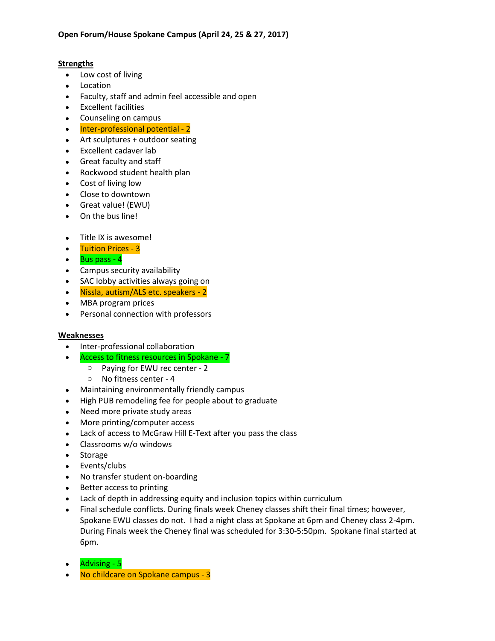## **Strengths**

- Low cost of living
- Location
- Faculty, staff and admin feel accessible and open
- Excellent facilities
- Counseling on campus
- Inter-professional potential 2
- Art sculptures + outdoor seating
- Excellent cadaver lab
- Great faculty and staff
- Rockwood student health plan
- Cost of living low
- Close to downtown
- Great value! (EWU)
- On the bus line!
- Title IX is awesome!
- Tuition Prices 3
- Bus pass 4
- Campus security availability
- SAC lobby activities always going on
- Nissla, autism/ALS etc. speakers 2
- MBA program prices
- Personal connection with professors

## **Weaknesses**

- Inter-professional collaboration
- Access to fitness resources in Spokane 7
	- o Paying for EWU rec center 2
		- o No fitness center 4
- Maintaining environmentally friendly campus
- High PUB remodeling fee for people about to graduate
- Need more private study areas
- More printing/computer access
- Lack of access to McGraw Hill E-Text after you pass the class
- Classrooms w/o windows
- Storage
- Events/clubs
- No transfer student on-boarding
- Better access to printing
- Lack of depth in addressing equity and inclusion topics within curriculum
- Final schedule conflicts. During finals week Cheney classes shift their final times; however, Spokane EWU classes do not. I had a night class at Spokane at 6pm and Cheney class 2-4pm. During Finals week the Cheney final was scheduled for 3:30-5:50pm. Spokane final started at 6pm.
- Advising 5
- No childcare on Spokane campus 3